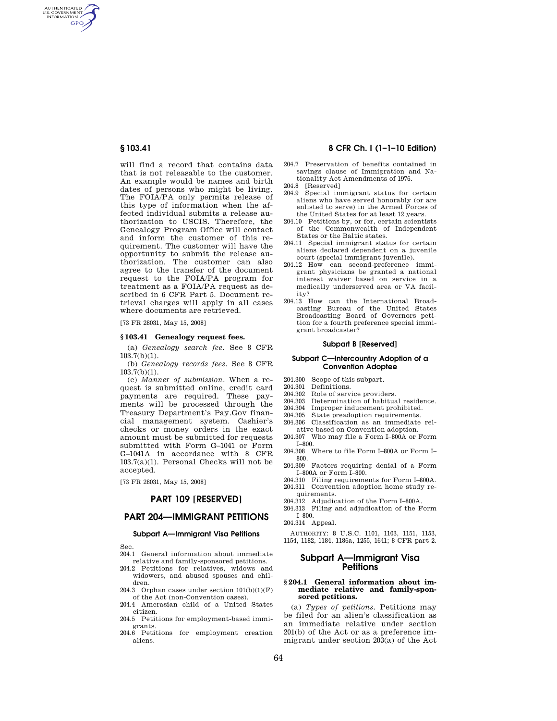AUTHENTICATED<br>U.S. GOVERNMENT<br>INFORMATION **GPO** 

> will find a record that contains data that is not releasable to the customer. An example would be names and birth dates of persons who might be living. The FOIA/PA only permits release of this type of information when the affected individual submits a release authorization to USCIS. Therefore, the Genealogy Program Office will contact and inform the customer of this requirement. The customer will have the opportunity to submit the release authorization. The customer can also agree to the transfer of the document request to the FOIA/PA program for treatment as a FOIA/PA request as described in 6 CFR Part 5. Document retrieval charges will apply in all cases where documents are retrieved.

[73 FR 28031, May 15, 2008]

#### **§ 103.41 Genealogy request fees.**

(a) *Genealogy search fee.* See 8 CFR  $103.7(b)(1)$ .

(b) *Genealogy records fees.* See 8 CFR 103.7(b)(1).

(c) *Manner of submission.* When a request is submitted online, credit card payments are required. These payments will be processed through the Treasury Department's Pay.Gov financial management system. Cashier's checks or money orders in the exact amount must be submitted for requests submitted with Form G–1041 or Form G–1041A in accordance with 8 CFR 103.7(a)(1). Personal Checks will not be accepted.

[73 FR 28031, May 15, 2008]

# **PART 109 [RESERVED]**

## **PART 204—IMMIGRANT PETITIONS**

#### **Subpart A—Immigrant Visa Petitions**

Sec.

- 204.1 General information about immediate relative and family-sponsored petitions.
- 204.2 Petitions for relatives, widows and widowers, and abused spouses and children.
- 204.3 Orphan cases under section  $101(b)(1)(F)$ of the Act (non-Convention cases).
- 204.4 Amerasian child of a United States citizen.
- 204.5 Petitions for employment-based immigrants.
- 204.6 Petitions for employment creation aliens.

### **§ 103.41 8 CFR Ch. I (1–1–10 Edition)**

- 204.7 Preservation of benefits contained in savings clause of Immigration and Nationality Act Amendments of 1976.
- 204.8 [Reserved]
- 204.9 Special immigrant status for certain aliens who have served honorably (or are enlisted to serve) in the Armed Forces of the United States for at least 12 years.
- 204.10 Petitions by, or for, certain scientists of the Commonwealth of Independent States or the Baltic states.
- 204.11 Special immigrant status for certain aliens declared dependent on a juvenile court (special immigrant juvenile).
- 204.12 How can second-preference immigrant physicians be granted a national interest waiver based on service in a medically underserved area or VA facility?
- 204.13 How can the International Broadcasting Bureau of the United States Broadcasting Board of Governors petition for a fourth preference special immigrant broadcaster?

#### **Subpart B [Reserved]**

#### **Subpart C—Intercountry Adoption of a Convention Adoptee**

- 204.300 Scope of this subpart.<br>204.301 Definitions.
- 204.301 Definitions.<br>204.302 Role of serv
- Role of service providers.
- 204.303 Determination of habitual residence.<br>204.304 Improper inducement prohibited.
- 204.304 Improper inducement prohibited.
- State preadoption requirements. 204.306 Classification as an immediate rel-
- ative based on Convention adoption.
- 204.307 Who may file a Form I–800A or Form I–800.
- 204.308 Where to file Form I–800A or Form I– 800.
- 204.309 Factors requiring denial of a Form I–800A or Form I–800.
- 204.310 Filing requirements for Form I–800A.
- 204.311 Convention adoption home study requirements.
- 204.312 Adjudication of the Form I–800A. 204.313 Filing and adjudication of the Form
- I–800.

204.314 Appeal.

AUTHORITY: 8 U.S.C. 1101, 1103, 1151, 1153, 1154, 1182, 1184, 1186a, 1255, 1641; 8 CFR part 2.

#### **Subpart A—Immigrant Visa Petitions**

#### **§ 204.1 General information about immediate relative and family-sponsored petitions.**

(a) *Types of petitions.* Petitions may be filed for an alien's classification as an immediate relative under section 201(b) of the Act or as a preference immigrant under section 203(a) of the Act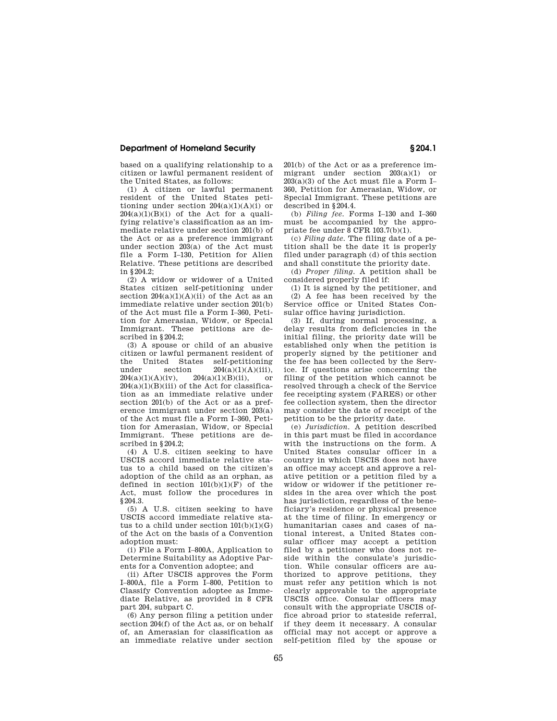#### **Department of Homeland Security § 204.1**

based on a qualifying relationship to a citizen or lawful permanent resident of the United States, as follows:

(1) A citizen or lawful permanent resident of the United States petitioning under section  $204(a)(1)(A)(i)$  or  $204(a)(1)(B)(i)$  of the Act for a qualifying relative's classification as an immediate relative under section 201(b) of the Act or as a preference immigrant under section 203(a) of the Act must file a Form I–130, Petition for Alien Relative. These petitions are described in §204.2;

(2) A widow or widower of a United States citizen self-petitioning under section  $204(a)(1)(A)(ii)$  of the Act as an immediate relative under section 201(b) of the Act must file a Form I–360, Petition for Amerasian, Widow, or Special Immigrant. These petitions are described in §204.2;

(3) A spouse or child of an abusive citizen or lawful permanent resident of the United States self-petitioning<br>under section  $204(a)(1)(A)(iii)$ ,  $204(a)(1)(A)(iii)$ ,<br>  $204(a)(1)(B)(ii)$ , or  $204(a)(1)(A)(iv)$ ,  $204(a)(1)(B)(ii)$ , or  $204(a)(1)(B)(iii)$  of the Act for classification as an immediate relative under section 201(b) of the Act or as a preference immigrant under section 203(a) of the Act must file a Form I–360, Petition for Amerasian, Widow, or Special Immigrant. These petitions are described in §204.2;

(4) A U.S. citizen seeking to have USCIS accord immediate relative status to a child based on the citizen's adoption of the child as an orphan, as defined in section  $101(b)(1)(F)$  of the Act, must follow the procedures in §204.3.

(5) A U.S. citizen seeking to have USCIS accord immediate relative status to a child under section  $101(b)(1)(G)$ of the Act on the basis of a Convention adoption must:

(i) File a Form I–800A, Application to Determine Suitability as Adoptive Parents for a Convention adoptee; and

(ii) After USCIS approves the Form I–800A, file a Form I–800, Petition to Classify Convention adoptee as Immediate Relative, as provided in 8 CFR part 204, subpart C.

(6) Any person filing a petition under section 204(f) of the Act as, or on behalf of, an Amerasian for classification as an immediate relative under section

201(b) of the Act or as a preference immigrant under section 203(a)(1) or 203(a)(3) of the Act must file a Form I– 360, Petition for Amerasian, Widow, or Special Immigrant. These petitions are described in §204.4.

(b) *Filing fee.* Forms I–130 and I–360 must be accompanied by the appropriate fee under 8 CFR 103.7(b)(1).

(c) *Filing date.* The filing date of a petition shall be the date it is properly filed under paragraph (d) of this section and shall constitute the priority date.

(d) *Proper filing.* A petition shall be considered properly filed if:

(1) It is signed by the petitioner, and (2) A fee has been received by the Service office or United States Consular office having jurisdiction.

 $(3)$  If, during normal processing, a delay results from deficiencies in the initial filing, the priority date will be established only when the petition is properly signed by the petitioner and the fee has been collected by the Service. If questions arise concerning the filing of the petition which cannot be resolved through a check of the Service fee receipting system (FARES) or other fee collection system, then the director may consider the date of receipt of the petition to be the priority date.

(e) *Jurisdiction.* A petition described in this part must be filed in accordance with the instructions on the form. A United States consular officer in a country in which USCIS does not have an office may accept and approve a relative petition or a petition filed by a widow or widower if the petitioner resides in the area over which the post has jurisdiction, regardless of the beneficiary's residence or physical presence at the time of filing. In emergency or humanitarian cases and cases of national interest, a United States consular officer may accept a petition filed by a petitioner who does not reside within the consulate's jurisdiction. While consular officers are authorized to approve petitions, they must refer any petition which is not clearly approvable to the appropriate USCIS office. Consular officers may consult with the appropriate USCIS office abroad prior to stateside referral, if they deem it necessary. A consular official may not accept or approve a self-petition filed by the spouse or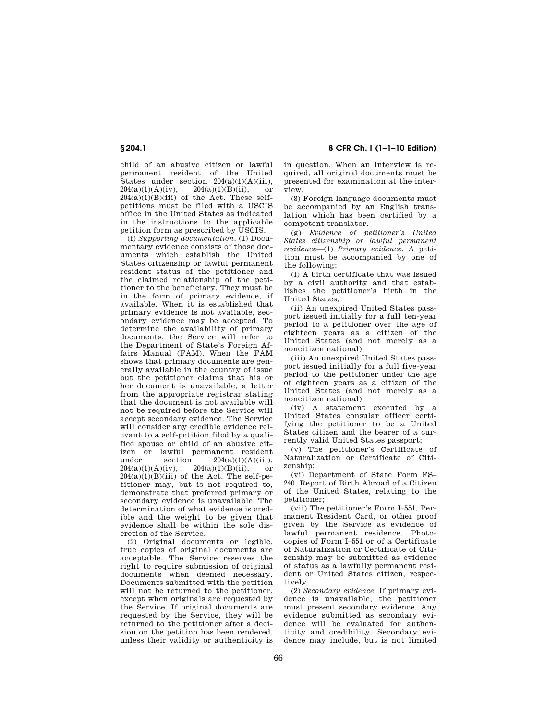# **§ 204.1 8 CFR Ch. I (1–1–10 Edition)**

child of an abusive citizen or lawful permanent resident of the United States under section  $204(a)(1)(A)(iii)$ ,<br> $204(a)(1)(A)(iv)$ ,  $204(a)(1)(B)(ii)$ , or  $204(a)(1)(A)(iv)$ ,  $204(a)(1)(B)(ii)$ , or  $204(a)(1)(B)(iii)$  of the Act. These selfpetitions must be filed with a USCIS office in the United States as indicated in the instructions to the applicable petition form as prescribed by USCIS.

(f) *Supporting documentation.* (1) Documentary evidence consists of those documents which establish the United States citizenship or lawful permanent resident status of the petitioner and the claimed relationship of the petitioner to the beneficiary. They must be in the form of primary evidence, if available. When it is established that primary evidence is not available, secondary evidence may be accepted. To determine the availability of primary documents, the Service will refer to the Department of State's Foreign Affairs Manual (FAM). When the FAM shows that primary documents are generally available in the country of issue but the petitioner claims that his or her document is unavailable, a letter from the appropriate registrar stating that the document is not available will not be required before the Service will accept secondary evidence. The Service will consider any credible evidence relevant to a self-petition filed by a qualified spouse or child of an abusive citizen or lawful permanent resident<br>under section  $204(a)(1)(A)(iii)$  $204(a)(1)(A)(iii)$ ,  $204(a)(1)(A)(iv)$ ,  $204(a)(1)(B)(ii)$ , or  $204(a)(1)(B)(iii)$  of the Act. The self-petitioner may, but is not required to, demonstrate that preferred primary or secondary evidence is unavailable. The determination of what evidence is credible and the weight to be given that evidence shall be within the sole discretion of the Service.

(2) Original documents or legible true copies of original documents are acceptable. The Service reserves the right to require submission of original documents when deemed necessary. Documents submitted with the petition will not be returned to the petitioner, except when originals are requested by the Service. If original documents are requested by the Service, they will be returned to the petitioner after a decision on the petition has been rendered, unless their validity or authenticity is

in question. When an interview is required, all original documents must be presented for examination at the interview.

(3) Foreign language documents must be accompanied by an English translation which has been certified by a competent translator.

(g) *Evidence of petitioner's United States citizenship or lawful permanent residence*—(1) *Primary evidence.* A petition must be accompanied by one of the following:

(i) A birth certificate that was issued by a civil authority and that establishes the petitioner's birth in the United States;

(ii) An unexpired United States passport issued initially for a full ten-year period to a petitioner over the age of eighteen years as a citizen of the United States (and not merely as a noncitizen national);

(iii) An unexpired United States passport issued initially for a full five-year period to the petitioner under the age of eighteen years as a citizen of the United States (and not merely as a noncitizen national);

(iv) A statement executed by a United States consular officer certifying the petitioner to be a United States citizen and the bearer of a currently valid United States passport;

(v) The petitioner's Certificate of Naturalization or Certificate of Citizenship;

(vi) Department of State Form FS– 240, Report of Birth Abroad of a Citizen of the United States, relating to the petitioner;

(vii) The petitioner's Form I–551, Permanent Resident Card, or other proof given by the Service as evidence of lawful permanent residence. Photocopies of Form I–551 or of a Certificate of Naturalization or Certificate of Citizenship may be submitted as evidence of status as a lawfully permanent resident or United States citizen, respectively.

(2) *Secondary evidence.* If primary evidence is unavailable, the petitioner must present secondary evidence. Any evidence submitted as secondary evidence will be evaluated for authenticity and credibility. Secondary evidence may include, but is not limited